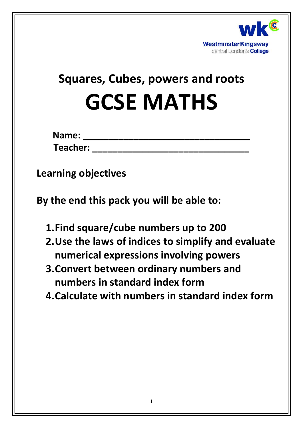

# **Squares, Cubes, powers and roots GCSE MATHS**

| Name:    |  |  |  |  |
|----------|--|--|--|--|
| Teacher: |  |  |  |  |

**Learning objectives**

**By the end this pack you will be able to:**

- **1.Find square/cube numbers up to 200**
- **2.Use the laws of indices to simplify and evaluate numerical expressions involving powers**
- **3.Convert between ordinary numbers and numbers in standard index form**
- **4.Calculate with numbers in standard index form**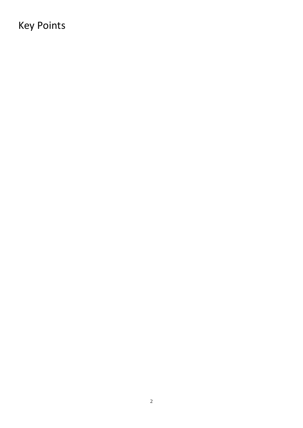# Key Points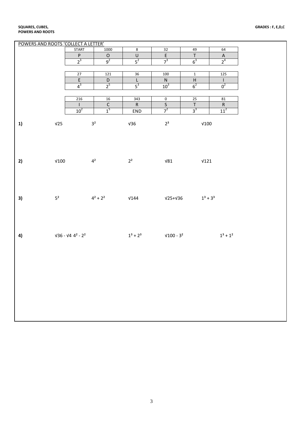| POWERS AND ROOTS 'COLLECT A LETTER' |              |                                                                             |                |                |                  |                         |                         |      |                                            |
|-------------------------------------|--------------|-----------------------------------------------------------------------------|----------------|----------------|------------------|-------------------------|-------------------------|------|--------------------------------------------|
|                                     |              | <b>START</b>                                                                |                | 1000           | $\bf 8$          | 32                      | 49                      |      | 64                                         |
|                                     |              | $\sf P$                                                                     |                | $\mathsf O$    | $\sf U$          | $\overline{E}$          | $\top$                  |      | $\boldsymbol{\mathsf{A}}$                  |
|                                     |              | $2^3$                                                                       |                | $9^2$          | $5^2$            | $7^3$                   | $6^3$                   |      | 2 <sup>4</sup>                             |
|                                     |              |                                                                             |                |                |                  |                         |                         |      |                                            |
|                                     |              | 27                                                                          |                | 121            | 36               | 100                     | $\overline{\mathbf{1}}$ |      | 125                                        |
|                                     |              | $\overline{\mathsf{E}}$                                                     |                | $\mathsf D$    | L                | ${\sf N}$               | $\overline{\mathsf{H}}$ |      | $\mathsf{L}$                               |
|                                     |              | $4^3$                                                                       |                | 2 <sup>5</sup> | $\overline{5^3}$ | 10 <sup>3</sup>         | $\overline{6^2}$        |      | $0^2$                                      |
|                                     |              |                                                                             |                |                |                  |                         |                         |      |                                            |
|                                     |              | 216                                                                         |                | $16\,$         | 343              | $\overline{\mathbf{0}}$ |                         |      | 81                                         |
|                                     |              | $\mathbf{I}$                                                                |                | $\overline{C}$ | ${\sf R}$        | $\overline{\mathsf{S}}$ | $\frac{25}{T}$          |      |                                            |
|                                     |              | 10 <sup>2</sup>                                                             |                | 1 <sup>5</sup> | END              | 7 <sup>2</sup>          | $3^3$                   |      | $\frac{R}{11^2}$                           |
|                                     |              |                                                                             |                |                |                  |                         |                         |      |                                            |
|                                     | V25          |                                                                             | 3 <sup>2</sup> |                |                  | $2^3$                   |                         | V100 |                                            |
| 1)                                  |              |                                                                             |                |                | $\sqrt{36}$      |                         |                         |      |                                            |
|                                     |              |                                                                             |                |                |                  |                         |                         |      |                                            |
|                                     |              |                                                                             |                |                |                  |                         |                         |      |                                            |
|                                     |              |                                                                             |                |                |                  |                         |                         |      |                                            |
|                                     |              |                                                                             |                |                |                  |                         |                         |      |                                            |
|                                     |              |                                                                             |                |                |                  |                         |                         |      |                                            |
| 2)                                  | $\sqrt{100}$ | $4^2$                                                                       |                |                | $2^2$            |                         | $\sqrt{81}$             | V121 |                                            |
|                                     |              |                                                                             |                |                |                  |                         |                         |      |                                            |
|                                     |              |                                                                             |                |                |                  |                         |                         |      |                                            |
|                                     |              |                                                                             |                |                |                  |                         |                         |      |                                            |
|                                     |              |                                                                             |                |                |                  |                         |                         |      |                                            |
|                                     |              |                                                                             |                |                |                  |                         |                         |      |                                            |
| 3)                                  |              | 5 <sup>2</sup> $4^2 + 2^2$ $\sqrt{144}$ $\sqrt{25} + \sqrt{36}$ $1^3 + 3^3$ |                |                |                  |                         |                         |      |                                            |
|                                     |              |                                                                             |                |                |                  |                         |                         |      |                                            |
|                                     |              |                                                                             |                |                |                  |                         |                         |      |                                            |
|                                     |              |                                                                             |                |                |                  |                         |                         |      |                                            |
|                                     |              |                                                                             |                |                |                  |                         |                         |      |                                            |
|                                     |              |                                                                             |                |                |                  |                         |                         |      |                                            |
| 4)                                  |              | $\sqrt{36} - \sqrt{4} 4^2 - 2^2$                                            |                |                |                  |                         |                         |      | $1^3 + 2^3$ $\sqrt{100 - 3^2}$ $1^3 + 1^2$ |
|                                     |              |                                                                             |                |                |                  |                         |                         |      |                                            |
|                                     |              |                                                                             |                |                |                  |                         |                         |      |                                            |
|                                     |              |                                                                             |                |                |                  |                         |                         |      |                                            |
|                                     |              |                                                                             |                |                |                  |                         |                         |      |                                            |
|                                     |              |                                                                             |                |                |                  |                         |                         |      |                                            |
|                                     |              |                                                                             |                |                |                  |                         |                         |      |                                            |
|                                     |              |                                                                             |                |                |                  |                         |                         |      |                                            |
|                                     |              |                                                                             |                |                |                  |                         |                         |      |                                            |
|                                     |              |                                                                             |                |                |                  |                         |                         |      |                                            |
|                                     |              |                                                                             |                |                |                  |                         |                         |      |                                            |
|                                     |              |                                                                             |                |                |                  |                         |                         |      |                                            |
|                                     |              |                                                                             |                |                |                  |                         |                         |      |                                            |
|                                     |              |                                                                             |                |                |                  |                         |                         |      |                                            |
|                                     |              |                                                                             |                |                |                  |                         |                         |      |                                            |
|                                     |              |                                                                             |                |                |                  |                         |                         |      |                                            |

#### **SQUARES, CUBES, POWERS AND ROOTS**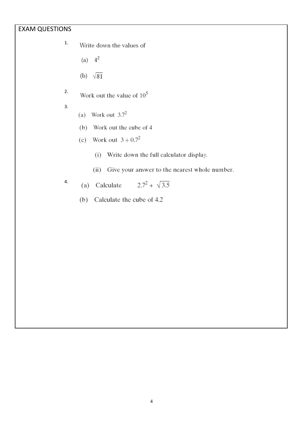### EXAM QUESTIONS

- 1. Write down the values of
	- (a)  $4^2$
	- (b)  $\sqrt{81}$
- 2. Work out the value of  $10^5$
- 3.
- (a) Work out  $3.7^2$
- (b) Work out the cube of 4
- (c) Work out  $3 \div 0.7^2$ 
	- (i) Write down the full calculator display.
	- (ii) Give your answer to the nearest whole number.

4. (a) Calculate 
$$
2.7^2 + \sqrt{3.5}
$$

(b) Calculate the cube of 4.2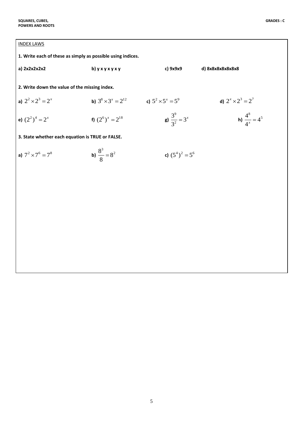| 1. Write each of these as simply as possible using indices. |                                      |                            |                                   |  |  |  |  |
|-------------------------------------------------------------|--------------------------------------|----------------------------|-----------------------------------|--|--|--|--|
| a) 2x2x2x2x2                                                | b) $y$ x $y$ x $y$ x $y$             | c) 9x9x9                   | d) 8x8x8x8x8x8x8                  |  |  |  |  |
| 2. Write down the value of the missing index.               |                                      |                            |                                   |  |  |  |  |
| a) $2^2 \times 2^3 = 2^x$                                   | <b>b</b> ) $3^8 \times 3^x = 2^{12}$ | c) $5^2 \times 5^x = 5^9$  | d) $2^{x} \times 2^{3} = 2^{7}$   |  |  |  |  |
| e) $(2^2)^4 = 2^x$                                          | f) $(2^6)^x = 2^{18}$                | g) $\frac{3^9}{3^2} = 3^x$ | <b>h)</b> $\frac{4^8}{4^x} = 4^5$ |  |  |  |  |
| 3. State whether each equation is TRUE or FALSE.            |                                      |                            |                                   |  |  |  |  |
| a) $7^2 \times 7^6 = 7^8$                                   | <b>b)</b> $\frac{8^3}{8} = 8^2$      | c) $(5^4)^2 = 5^6$         |                                   |  |  |  |  |
|                                                             |                                      |                            |                                   |  |  |  |  |
|                                                             |                                      |                            |                                   |  |  |  |  |
|                                                             |                                      |                            |                                   |  |  |  |  |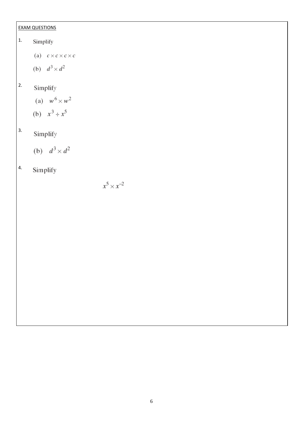### EXAM QUESTIONS

- 1. Simplify
	- (a)  $c \times c \times c \times c$
	- (b)  $d^3 \times d^2$

#### 2. Simplify

(a)  $w^6 \times w^2$ (b)  $x^3 \div x^5$ 

#### 3. Simplify

(b) 
$$
d^3 \times d^2
$$

#### 4.Simplify

 $x^5 \times x^{-2}$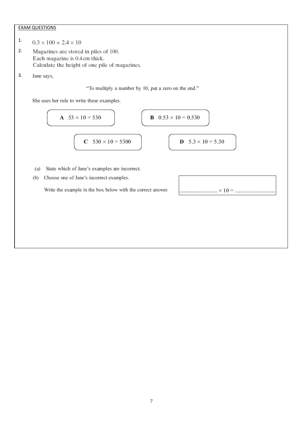#### EXAM QUESTIONS

- 1.  $0.3 \times 100 + 2.4 \times 10$
- 2. Magazines are stored in piles of 100. Each magazine is 0.4cm thick. Calculate the height of one pile of magazines.
- 3.Jane says,

#### "To multiply a number by 10, put a zero on the end."

She uses her rule to write these examples.

| A | $53 \times 10 = 530$   | B | $0.53 \times 10 = 0.530$ |
|---|------------------------|---|--------------------------|
| C | $530 \times 10 = 5300$ | D | $5.3 \times 10 = 5.30$   |

- (a) State which of Jane's examples are incorrect.
- (b) Choose one of Jane's incorrect examples.

Write the example in the box below with the correct answer.

| × 10 |  |  |  |  |  |
|------|--|--|--|--|--|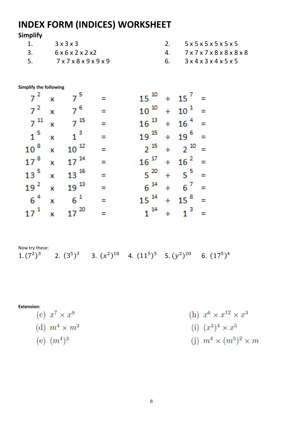# **INDEX FORM (INDICES) WORKSHEET**

# **Simplify**

|     | $3 \times 3 \times 3$                   | 2. $5x5x5x5x5x5$                                    |
|-----|-----------------------------------------|-----------------------------------------------------|
|     | $6 \times 6 \times 2 \times 2 \times 2$ | 4. 7x7x7x8x8x8x8                                    |
| -5- | 7x7x8x9x9x9                             | 6. $3 \times 4 \times 3 \times 4 \times 5 \times 5$ |

### **Simplify the following**

|  | $7^2$ x $7^5$ =                  |                                    |  | $15^{10} \div 15^{7} =$   |  |
|--|----------------------------------|------------------------------------|--|---------------------------|--|
|  | $7^2$ x $7^6$ =                  |                                    |  | $10^{10} \div 10^{1} =$   |  |
|  | $7^{11}$ x $7^{15}$              | $\mathcal{L} =$                    |  | $16^{13} \div 16^{4} =$   |  |
|  | $1^5$ x $1^3$ =                  |                                    |  | $19^{15} \div 19^{6} =$   |  |
|  | $10^{8}$ x $10^{12}$ =           |                                    |  | $2^{15}$ ÷ $2^{10}$ =     |  |
|  | $17^{8}$ x $17^{14}$             | $\sim$                             |  | $16^{17} \div 16^{2} =$   |  |
|  | $13^{\frac{5}{}} \times 13^{16}$ | $\mathbb{R}^2 \times \mathbb{R}^2$ |  | $5^{20} \div 5^{5} =$     |  |
|  | $19^{2}$ x $19^{13}$             | $\equiv$                           |  | $6^{14} \div 6^{7} =$     |  |
|  | $6^4$ x $6^1$ =                  |                                    |  | $15^{14} \div 15^{8} =$   |  |
|  | $17^1$ x $17^{20}$ =             |                                    |  | $1^{14}$ $\div$ $1^{3}$ = |  |

Now try these:

1.  $(7^2)^3$  2.  $(3^5)^3$  3.  $(x^2)^{10}$  4.  $(11^5)^5$  5.  $(y^2)^{20}$  6.  $(17^5)^4$ 

**Extension:**

(c) 
$$
x^7 \times x^9
$$
  
\n(d)  $m^4 \times m^3$   
\n(e)  $(m^4)^3$   
\n(f)  $(x^3)^4 \times x^5$   
\n(g)  $(m^4)^3$   
\n(h)  $x^6 \times x^{12} \times x^3$   
\n(i)  $(x^3)^4 \times x^5$   
\n(j)  $m^4 \times (m^5)^2 \times m$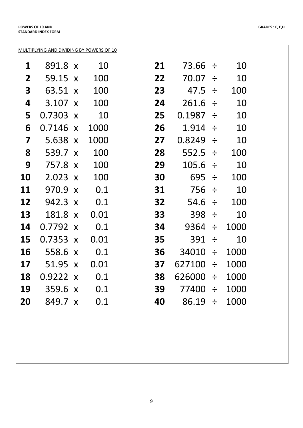|--|

| 1         | 891.8 x         |                           | 10   | 21 | 73.66        | ÷      | 10   |
|-----------|-----------------|---------------------------|------|----|--------------|--------|------|
| 2         | 59.15           | $\mathbf{X}$              | 100  | 22 | 70.07        | $\div$ | 10   |
| 3         | 63.51           | $\boldsymbol{\mathsf{X}}$ | 100  | 23 | 47.5         | ÷      | 100  |
| 4         | 3.107           | $\boldsymbol{\mathsf{X}}$ | 100  | 24 | 261.6        | ÷      | 10   |
| 5         | 0.7303          | $\boldsymbol{\mathsf{X}}$ | 10   | 25 | 0.1987       | ÷      | 10   |
| 6         | 0.7146          | $\boldsymbol{\mathsf{X}}$ | 1000 | 26 | 1.914        | $\div$ | 10   |
| 7         | 5.638           | $\boldsymbol{\mathsf{X}}$ | 1000 | 27 | 0.8249       | $\div$ | 10   |
| 8         | 539.7           | $\boldsymbol{X}$          | 100  | 28 | 552.5        | $\div$ | 100  |
| 9         | 757.8           | $\boldsymbol{\mathsf{X}}$ | 100  | 29 | 105.6        | $\div$ | 10   |
| <b>10</b> | 2.023           | $\mathbf{X}$              | 100  | 30 | 695          | $\div$ | 100  |
| <b>11</b> | 970.9           | $\boldsymbol{X}$          | 0.1  | 31 | 756          | $\div$ | 10   |
| 12        | 942.3           | $\mathbf{X}$              | 0.1  | 32 | 54.6         | ÷      | 100  |
| 13        | 181.8           | $\boldsymbol{X}$          | 0.01 | 33 | 398          | $\div$ | 10   |
| 14        | 0.7792 x        |                           | 0.1  | 34 | 9364         | ÷      | 1000 |
| 15        | $0.7353 \times$ |                           | 0.01 | 35 | 391          | $\div$ | 10   |
| 16        | 558.6           | $\mathbf{X}$              | 0.1  | 36 | 34010        | ÷      | 1000 |
| 17        | 51.95           | $\mathbf{X}$              | 0.01 | 37 | 627100       | ÷      | 1000 |
| 18        | $0.9222 \times$ |                           | 0.1  | 38 | 626000       | $\div$ | 1000 |
| 19        | 359.6 x         |                           | 0.1  | 39 | 77400 ÷      |        | 1000 |
| 20        | 849.7 x         |                           | 0.1  | 40 | $86.19 \div$ |        | 1000 |
|           |                 |                           |      |    |              |        |      |
|           |                 |                           |      |    |              |        |      |
|           |                 |                           |      |    |              |        |      |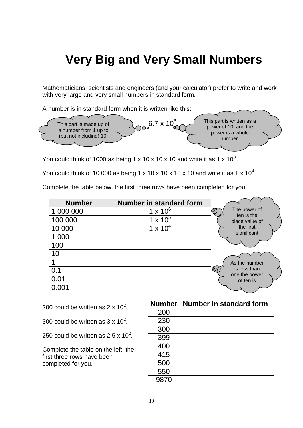# **Very Big and Very Small Numbers**

Mathematicians, scientists and engineers (and your calculator) prefer to write and work with very large and very small numbers in standard form.

A number is in standard form when it is written like this:



You could think of 1000 as being 1 x 10 x 10 x 10 and write it as 1 x 10<sup>3</sup>.

You could think of 10 000 as being 1 x 10 x 10 x 10 x 10 and write it as 1 x 10<sup>4</sup>.

Complete the table below, the first three rows have been completed for you.

| <b>Number</b> | <b>Number in standard form</b> |                            |
|---------------|--------------------------------|----------------------------|
| 1 000 000     | $1 \times 10^6$                | The power of<br>ten is the |
| 100 000       | $1 \times 10^5$                | place value of             |
| 10 000        | $1 \times 10^4$                | the first                  |
| 1 000         |                                | significant                |
| 100           |                                |                            |
| 10            |                                |                            |
|               |                                | As the number              |
| 0.1           |                                | is less than               |
| 0.01          |                                | one the power<br>of ten is |
| 0.001         |                                |                            |

200 could be written as 2 x 10<sup>2</sup>.

- 300 could be written as  $3 \times 10^2$ .
- 250 could be written as 2.5 x  $10^2$ .

Complete the table on the left, the first three rows have been completed for you.

| <b>Number</b> | Number in standard form |
|---------------|-------------------------|
| 200           |                         |
| 230           |                         |
| 300           |                         |
| 399           |                         |
| 400           |                         |
| 415           |                         |
| 500           |                         |
| 550           |                         |
| 9870          |                         |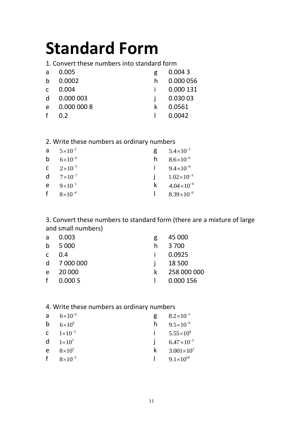# **Standard Form**

1. Convert these numbers into standard form

| a            | 0.005       | g | 0.0043    |
|--------------|-------------|---|-----------|
| h            | 0.0002      | h | 0.000 056 |
| $\mathsf{C}$ | 0.004       |   | 0.000 131 |
| d            | 0.000 003   |   | 0.030 03  |
| $\epsilon$   | 0.000 000 8 |   | 0.0561    |
|              | 0.2         |   | 0.0042    |

## 2. Write these numbers as ordinary numbers

| a | $5 \times 10^{-2}$          | g | $5.4\times10^{-2}$    |
|---|-----------------------------|---|-----------------------|
| b | $6 \times 10^{-4}$          | h | $8.6\times10^{-6}$    |
|   | <b>C</b> $2 \times 10^{-5}$ |   | $9.4 \times 10^{-6}$  |
| d | $7 \times 10^{-7}$          |   | $1.02\times10^{-3}$   |
| e | $9 \times 10^{-1}$          | k | $4.04 \times 10^{-6}$ |
| f | $8\times10^{-4}$            |   | $8.39\times10^{-9}$   |

3. Convert these numbers to standard form (there are a mixture of large and small numbers)

| a            | 0.003       | g  | 45 000      |
|--------------|-------------|----|-------------|
| b            | 5 0 0 0     | h  | 3 700       |
| $\mathsf{C}$ | 0.4         |    | 0.0925      |
|              | d 7 000 000 |    | 18 500      |
| e            | 20 000      | k. | 258 000 000 |
| f            | 0.0005      |    | 0.000 156   |

# 4. Write these numbers as ordinary numbers

| a | $6 \times 10^{-6}$          |   | $8.2\times10^{-1}$    |
|---|-----------------------------|---|-----------------------|
| b | $6\times10^{6}$             | n | $9.5 \times 10^{-4}$  |
|   | <b>C</b> $1 \times 10^{-3}$ |   | $5.55 \times 10^8$    |
| d | $1\times10^3$               |   | $6.47\times10^{-2}$   |
| e | $8\times10^5$               | k | $3.001 \times 10^{2}$ |
| f | $8\times10^{-5}$            |   | $9.1\times10^{10}$    |